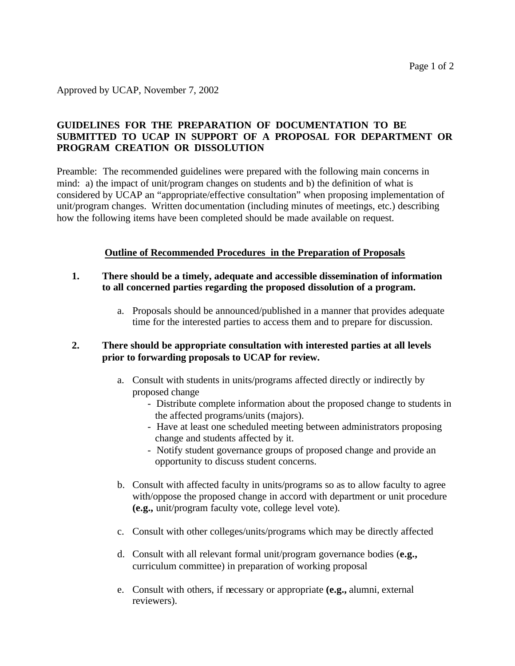Approved by UCAP, November 7, 2002

## **GUIDELINES FOR THE PREPARATION OF DOCUMENTATION TO BE SUBMITTED TO UCAP IN SUPPORT OF A PROPOSAL FOR DEPARTMENT OR PROGRAM CREATION OR DISSOLUTION**

Preamble: The recommended guidelines were prepared with the following main concerns in mind: a) the impact of unit/program changes on students and b) the definition of what is considered by UCAP an "appropriate/effective consultation" when proposing implementation of unit/program changes. Written documentation (including minutes of meetings, etc.) describing how the following items have been completed should be made available on request.

#### **Outline of Recommended Procedures in the Preparation of Proposals**

- **1. There should be a timely, adequate and accessible dissemination of information to all concerned parties regarding the proposed dissolution of a program.**
	- a. Proposals should be announced/published in a manner that provides adequate time for the interested parties to access them and to prepare for discussion.

#### **2. There should be appropriate consultation with interested parties at all levels prior to forwarding proposals to UCAP for review.**

- a. Consult with students in units/programs affected directly or indirectly by proposed change
	- Distribute complete information about the proposed change to students in the affected programs/units (majors).
	- Have at least one scheduled meeting between administrators proposing change and students affected by it.
	- Notify student governance groups of proposed change and provide an opportunity to discuss student concerns.
- b. Consult with affected faculty in units/programs so as to allow faculty to agree with/oppose the proposed change in accord with department or unit procedure **(e.g.,** unit/program faculty vote, college level vote).
- c. Consult with other colleges/units/programs which may be directly affected
- d. Consult with all relevant formal unit/program governance bodies (**e.g.,** curriculum committee) in preparation of working proposal
- e. Consult with others, if necessary or appropriate **(e.g.,** alumni, external reviewers).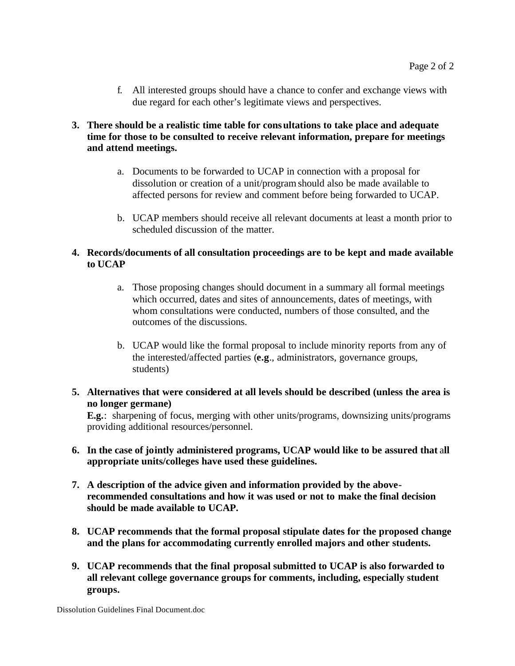f. All interested groups should have a chance to confer and exchange views with due regard for each other's legitimate views and perspectives.

## **3. There should be a realistic time table for consultations to take place and adequate time for those to be consulted to receive relevant information, prepare for meetings and attend meetings.**

- a. Documents to be forwarded to UCAP in connection with a proposal for dissolution or creation of a unit/program should also be made available to affected persons for review and comment before being forwarded to UCAP.
- b. UCAP members should receive all relevant documents at least a month prior to scheduled discussion of the matter.

## **4. Records/documents of all consultation proceedings are to be kept and made available to UCAP**

- a. Those proposing changes should document in a summary all formal meetings which occurred, dates and sites of announcements, dates of meetings, with whom consultations were conducted, numbers of those consulted, and the outcomes of the discussions.
- b. UCAP would like the formal proposal to include minority reports from any of the interested/affected parties (**e.g**., administrators, governance groups, students)
- **5. Alternatives that were considered at all levels should be described (unless the area is no longer germane)**

 **E.g.**: sharpening of focus, merging with other units/programs, downsizing units/programs providing additional resources/personnel.

- **6. In the case of jointly administered programs, UCAP would like to be assured that** a**ll appropriate units/colleges have used these guidelines.**
- **7. A description of the advice given and information provided by the aboverecommended consultations and how it was used or not to make the final decision should be made available to UCAP.**
- **8. UCAP recommends that the formal proposal stipulate dates for the proposed change and the plans for accommodating currently enrolled majors and other students.**
- **9. UCAP recommends that the final proposal submitted to UCAP is also forwarded to all relevant college governance groups for comments, including, especially student groups.**